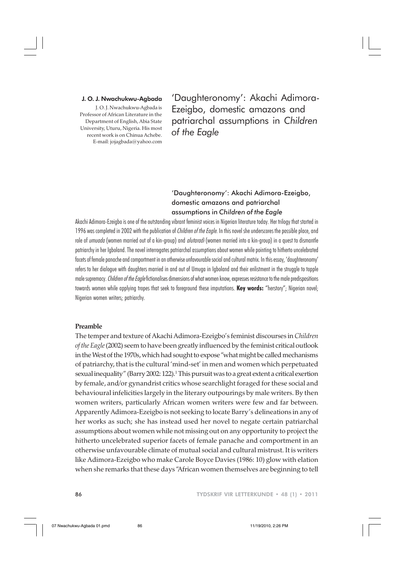#### 07 Nwachukwu-Agbada 01.pmd 86 11/19/2010, 2:26 PM

86 TYDSKRIF VIR LETTERKUNDE • 48 (1) • 2011

*of the Eagle* (2002) seem to have been greatly influenced by the feminist critical outlook in the West of the 1970s, which had sought to expose "what might be called mechanisms of patriarchy, that is the cultural 'mind-set' in men and women which perpetuated sexual inequality" (Barry 2002: 122).<sup>1</sup> This pursuit was to a great extent a critical exertion by female, and/or gynandrist critics whose searchlight foraged for these social and behavioural infelicities largely in the literary outpourings by male writers. By then women writers, particularly African women writers were few and far between. Apparently Adimora-Ezeigbo is not seeking to locate Barry's delineations in any of her works as such; she has instead used her novel to negate certain patriarchal assumptions about women while not missing out on any opportunity to project the hitherto uncelebrated superior facets of female panache and comportment in an otherwise unfavourable climate of mutual social and cultural mistrust. It is writers like Adimora-Ezeigbo who make Carole Boyce Davies (1986: 10) glow with elation when she remarks that these days "African women themselves are beginning to tell

The temper and texture of Akachi Adimora-Ezeigbo's feminist discourses in *Children*

### **Preamble**

1996 was completed in 2002 with the publication of *Children of the Eagle*. In this novel she underscores the possible place, and role of *umuada* (women married out of a kin-group) and *alutaradi* (women married into a kin-group) in a quest to dismantle patriarchy in her Igboland. The novel interrogates patriarchal assumptions about women while pointing to hitherto uncelebrated facets of female panache and comportment in an otherwise unfavourable social and cultural matrix. In this essay, 'daughteronomy' refers to her dialogue with daughters married in and out of Umuga in Igboland and their enlistment in the struggle to topple male supremacy. Children of the Eagle fictionalises dimensions of what women know, expresses resistance to the male predispositions towards women while applying tropes that seek to foreground these imputations. **Key words:** "herstory"; Nigerian novel; Nigerian women writers; patriarchy.

# 'Daughteronomy': Akachi Adimora-Ezeigbo, domestic amazons and patriarchal assumptions in *Children of the Eagle* Akachi Adimora-Ezeigbo is one of the outstanding vibrant feminist voices in Nigerian literature today. Her trilogy that started in

'Daughteronomy': Akachi Adimora-Ezeigbo, domestic amazons and patriarchal assumptions in *Children of the Eagle*

# J. O. J. Nwachukwu-Agbada

J. O. J. Nwachukwu-Agbada is Professor of African Literature in the Department of English, Abia State University, Uturu, Nigeria. His most recent work is on Chinua Achebe. E-mail: jojagbada@yahoo.com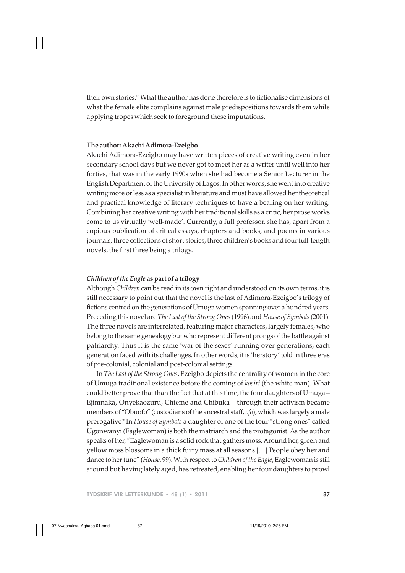their own stories." What the author has done therefore is to fictionalise dimensions of what the female elite complains against male predispositions towards them while applying tropes which seek to foreground these imputations.

## **The author: Akachi Adimora-Ezeigbo**

Akachi Adimora-Ezeigbo may have written pieces of creative writing even in her secondary school days but we never got to meet her as a writer until well into her forties, that was in the early 1990s when she had become a Senior Lecturer in the English Department of the University of Lagos. In other words, she went into creative writing more or less as a specialist in literature and must have allowed her theoretical and practical knowledge of literary techniques to have a bearing on her writing. Combining her creative writing with her traditional skills as a critic, her prose works come to us virtually 'well-made'. Currently, a full professor, she has, apart from a copious publication of critical essays, chapters and books, and poems in various journals, three collections of short stories, three children's books and four full-length novels, the first three being a trilogy.

## *Children of the Eagle* **as part of a trilogy**

Although *Children* can be read in its own right and understood on its own terms, it is still necessary to point out that the novel is the last of Adimora-Ezeigbo's trilogy of fictions centred on the generations of Umuga women spanning over a hundred years. Preceding this novel are *The Last of the Strong Ones* (1996) and *House of Symbols* (2001). The three novels are interrelated, featuring major characters, largely females, who belong to the same genealogy but who represent different prongs of the battle against patriarchy. Thus it is the same 'war of the sexes' running over generations, each generation faced with its challenges. In other words, it is 'herstory' told in three eras of pre-colonial, colonial and post-colonial settings.

In *The Last of the Strong Ones*, Ezeigbo depicts the centrality of women in the core of Umuga traditional existence before the coming of *kosiri* (the white man). What could better prove that than the fact that at this time, the four daughters of Umuga – Ejimnaka, Onyekaozuru, Chieme and Chibuka – through their activism became members of "Obuofo" (custodians of the ancestral staff, *ofo*), which was largely a male prerogative? In *House of Symbols* a daughter of one of the four "strong ones" called Ugonwanyi (Eaglewoman) is both the matriarch and the protagonist. As the author speaks of her, "Eaglewoman is a solid rock that gathers moss. Around her, green and yellow moss blossoms in a thick furry mass at all seasons […] People obey her and dance to her tune" (*House*, 99). With respect to *Children of the Eagle*, Eaglewoman is still around but having lately aged, has retreated, enabling her four daughters to prowl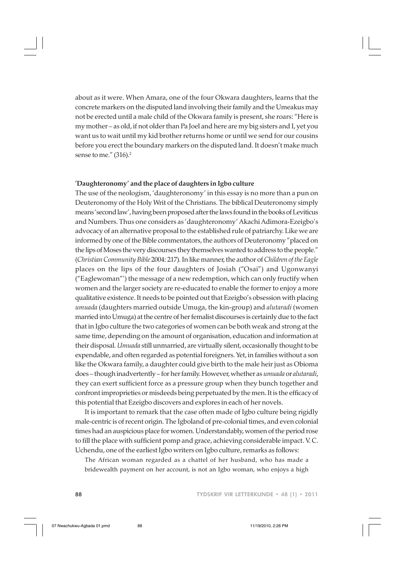about as it were. When Amara, one of the four Okwara daughters, learns that the concrete markers on the disputed land involving their family and the Umeakus may not be erected until a male child of the Okwara family is present, she roars: "Here is my mother – as old, if not older than Pa Joel and here are my big sisters and I, yet you want us to wait until my kid brother returns home or until we send for our cousins before you erect the boundary markers on the disputed land. It doesn't make much sense to me."  $(316)^2$ 

### **'Daughteronomy' and the place of daughters in Igbo culture**

The use of the neologism, 'daughteronomy' in this essay is no more than a pun on Deuteronomy of the Holy Writ of the Christians. The biblical Deuteronomy simply means 'second law', having been proposed after the laws found in the books of Leviticus and Numbers. Thus one considers as 'daughteronomy' Akachi Adimora-Ezeigbo's advocacy of an alternative proposal to the established rule of patriarchy. Like we are informed by one of the Bible commentators, the authors of Deuteronomy "placed on the lips of Moses the very discourses they themselves wanted to address to the people." (*Christian Community Bible* 2004: 217). In like manner, the author of *Children of the Eagle* places on the lips of the four daughters of Josiah ("Osai") and Ugonwanyi ("Eaglewoman"') the message of a new redemption, which can only fructify when women and the larger society are re-educated to enable the former to enjoy a more qualitative existence. It needs to be pointed out that Ezeigbo's obsession with placing *umuada* (daughters married outside Umuga, the kin-group) and *alutaradi* (women married into Umuga) at the centre of her femalist discourses is certainly due to the fact that in Igbo culture the two categories of women can be both weak and strong at the same time, depending on the amount of organisation, education and information at their disposal. *Umuada* still unmarried, are virtually silent, occasionally thought to be expendable, and often regarded as potential foreigners. Yet, in families without a son like the Okwara family, a daughter could give birth to the male heir just as Obioma does – though inadvertently – for her family. However, whether as *umuada* or *alutaradi*, they can exert sufficient force as a pressure group when they bunch together and confront improprieties or misdeeds being perpetuated by the men. It is the efficacy of this potential that Ezeigbo discovers and explores in each of her novels.

It is important to remark that the case often made of Igbo culture being rigidly male-centric is of recent origin. The Igboland of pre-colonial times, and even colonial times had an auspicious place for women. Understandably, women of the period rose to fill the place with sufficient pomp and grace, achieving considerable impact. V. C. Uchendu, one of the earliest Igbo writers on Igbo culture, remarks as follows:

The African woman regarded as a chattel of her husband, who has made a bridewealth payment on her account, is not an Igbo woman, who enjoys a high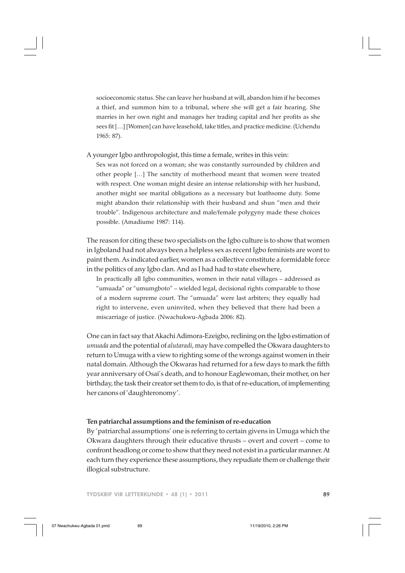socioeconomic status. She can leave her husband at will, abandon him if he becomes a thief, and summon him to a tribunal, where she will get a fair hearing. She marries in her own right and manages her trading capital and her profits as she sees fit […] [Women] can have leasehold, take titles, and practice medicine. (Uchendu 1965: 87).

A younger Igbo anthropologist, this time a female, writes in this vein:

Sex was not forced on a woman; she was constantly surrounded by children and other people […] The sanctity of motherhood meant that women were treated with respect. One woman might desire an intense relationship with her husband, another might see marital obligations as a necessary but loathsome duty. Some might abandon their relationship with their husband and shun "men and their trouble". Indigenous architecture and male/female polygyny made these choices possible. (Amadiume 1987: 114).

The reason for citing these two specialists on the Igbo culture is to show that women in Igboland had not always been a helpless sex as recent Igbo feminists are wont to paint them. As indicated earlier, women as a collective constitute a formidable force in the politics of any Igbo clan. And as I had had to state elsewhere,

In practically all Igbo communities, women in their natal villages – addressed as "umuada" or "umumgboto" – wielded legal, decisional rights comparable to those of a modern supreme court. The "umuada" were last arbiters; they equally had right to intervene, even uninvited, when they believed that there had been a miscarriage of justice. (Nwachukwu-Agbada 2006: 82).

One can in fact say that Akachi Adimora-Ezeigbo, reclining on the Igbo estimation of *umuada* and the potential of *alutaradi*, may have compelled the Okwara daughters to return to Umuga with a view to righting some of the wrongs against women in their natal domain. Although the Okwaras had returned for a few days to mark the fifth year anniversary of Osai's death, and to honour Eaglewoman, their mother, on her birthday, the task their creator set them to do, is that of re-education, of implementing her canons of 'daughteronomy'.

#### **Ten patriarchal assumptions and the feminism of re-education**

By 'patriarchal assumptions' one is referring to certain givens in Umuga which the Okwara daughters through their educative thrusts – overt and covert – come to confront headlong or come to show that they need not exist in a particular manner. At each turn they experience these assumptions, they repudiate them or challenge their illogical substructure.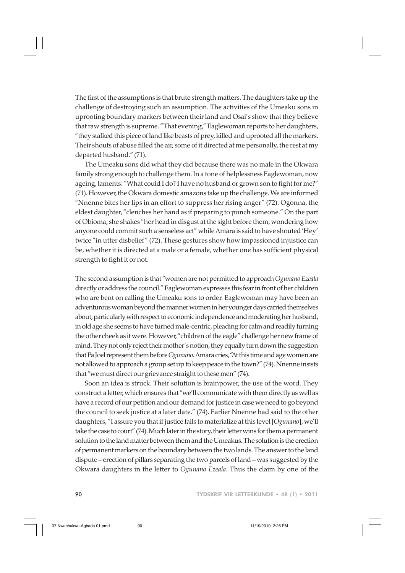The first of the assumptions is that brute strength matters. The daughters take up the challenge of destroying such an assumption. The activities of the Umeaku sons in uprooting boundary markers between their land and Osai's show that they believe that raw strength is supreme. "That evening," Eaglewoman reports to her daughters, "they stalked this piece of land like beasts of prey, killed and uprooted all the markers. Their shouts of abuse filled the air, some of it directed at me personally, the rest at my departed husband." (71).

The Umeaku sons did what they did because there was no male in the Okwara family strong enough to challenge them. In a tone of helplessness Eaglewoman, now ageing, laments: "What could I do? I have no husband or grown son to fight for me?" (71). However, the Okwara domestic amazons take up the challenge. We are informed "Nnenne bites her lips in an effort to suppress her rising anger" (72). Ogonna, the eldest daughter, "clenches her hand as if preparing to punch someone." On the part of Obioma, she shakes "her head in disgust at the sight before them, wondering how anyone could commit such a senseless act" while Amara is said to have shouted 'Hey' twice "in utter disbelief" (72). These gestures show how impassioned injustice can be, whether it is directed at a male or a female, whether one has sufficient physical strength to fight it or not.

The second assumption is that "women are not permitted to approach *Ogunano Ezeala* directly or address the council." Eaglewoman expresses this fear in front of her children who are bent on calling the Umeaku sons to order. Eaglewoman may have been an adventurous woman beyond the manner women in her younger days carried themselves about, particularly with respect to economic independence and moderating her husband, in old age she seems to have turned male-centric, pleading for calm and readily turning the other cheek as it were. However, "children of the eagle" challenge her new frame of mind. They not only reject their mother's notion, they equally turn down the suggestion that Pa Joel represent them before *Ogunano*. Amara cries, "At this time and age women are not allowed to approach a group set up to keep peace in the town?" (74). Nnenne insists that "we must direct our grievance straight to these men" (74).

Soon an idea is struck. Their solution is brainpower, the use of the word. They construct a letter, which ensures that "we'll communicate with them directly as well as have a record of our petition and our demand for justice in case we need to go beyond the council to seek justice at a later date." (74). Earlier Nnenne had said to the other daughters, "I assure you that if justice fails to materialize at this level [*Ogunano*], we'll take the case to court" (74). Much later in the story, their letter wins for them a permanent solution to the land matter between them and the Umeakus. The solution is the erection of permanent markers on the boundary between the two lands. The answer to the land dispute – erection of pillars separating the two parcels of land – was suggested by the Okwara daughters in the letter to *Ogunano Ezeala*. Thus the claim by one of the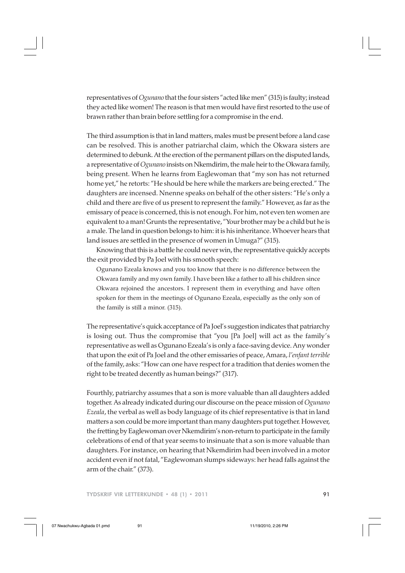representatives of *Ogunano* that the four sisters "acted like men" (315) is faulty; instead they acted like women! The reason is that men would have first resorted to the use of brawn rather than brain before settling for a compromise in the end.

The third assumption is that in land matters, males must be present before a land case can be resolved. This is another patriarchal claim, which the Okwara sisters are determined to debunk. At the erection of the permanent pillars on the disputed lands, a representative of *Ogunano* insists on Nkemdirim, the male heir to the Okwara family, being present. When he learns from Eaglewoman that "my son has not returned home yet," he retorts: "He should be here while the markers are being erected." The daughters are incensed. Nnenne speaks on behalf of the other sisters: "He's only a child and there are five of us present to represent the family." However, as far as the emissary of peace is concerned, this is not enough. For him, not even ten women are equivalent to a man! Grunts the representative, "Your brother may be a child but he is a male. The land in question belongs to him: it is his inheritance. Whoever hears that land issues are settled in the presence of women in Umuga?" (315).

Knowing that this is a battle he could never win, the representative quickly accepts the exit provided by Pa Joel with his smooth speech:

Ogunano Ezeala knows and you too know that there is no difference between the Okwara family and my own family. I have been like a father to all his children since Okwara rejoined the ancestors. I represent them in everything and have often spoken for them in the meetings of Ogunano Ezeala, especially as the only son of the family is still a minor. (315).

The representative's quick acceptance of Pa Joel's suggestion indicates that patriarchy is losing out. Thus the compromise that "you [Pa Joel] will act as the family's representative as well as Ogunano Ezeala's is only a face-saving device. Any wonder that upon the exit of Pa Joel and the other emissaries of peace, Amara, *l'enfant terrible* of the family, asks: "How can one have respect for a tradition that denies women the right to be treated decently as human beings?" (317).

Fourthly, patriarchy assumes that a son is more valuable than all daughters added together. As already indicated during our discourse on the peace mission of *Ogunano Ezeala*, the verbal as well as body language of its chief representative is that in land matters a son could be more important than many daughters put together. However, the fretting by Eaglewoman over Nkemdirim's non-return to participate in the family celebrations of end of that year seems to insinuate that a son is more valuable than daughters. For instance, on hearing that Nkemdirim had been involved in a motor accident even if not fatal, "Eaglewoman slumps sideways: her head falls against the arm of the chair." (373).

TYDSKRIF VIR LETTERKUNDE • 48 (1) • 2011 **91 PM 100 PM 100 PM 100 PM 100 PM 100 PM 100 PM 100 PM 100 PM 100 PM 100 PM 100 PM 100 PM 100 PM 100 PM 100 PM 100 PM 100 PM 100 PM 100 PM 100 PM 100 PM 100 PM 100 PM 100 PM 100 PM**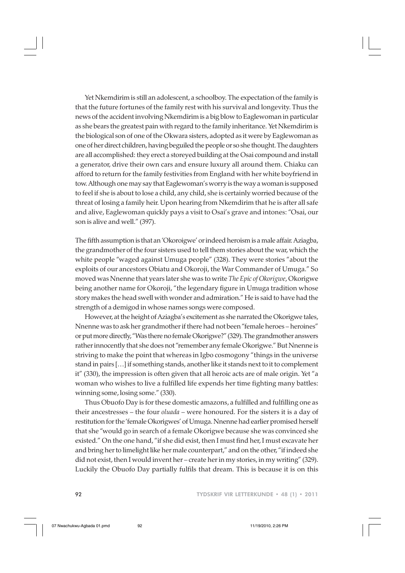Yet Nkemdirim is still an adolescent, a schoolboy. The expectation of the family is that the future fortunes of the family rest with his survival and longevity. Thus the news of the accident involving Nkemdirim is a big blow to Eaglewoman in particular as she bears the greatest pain with regard to the family inheritance. Yet Nkemdirim is the biological son of one of the Okwara sisters, adopted as it were by Eaglewoman as one of her direct children, having beguiled the people or so she thought. The daughters are all accomplished: they erect a storeyed building at the Osai compound and install a generator, drive their own cars and ensure luxury all around them. Chiaku can afford to return for the family festivities from England with her white boyfriend in tow. Although one may say that Eaglewoman's worry is the way a woman is supposed to feel if she is about to lose a child, any child, she is certainly worried because of the threat of losing a family heir. Upon hearing from Nkemdirim that he is after all safe and alive, Eaglewoman quickly pays a visit to Osai's grave and intones: "Osai, our son is alive and well." (397).

The fifth assumption is that an 'Okoroigwe' or indeed heroism is a male affair. Aziagba, the grandmother of the four sisters used to tell them stories about the war, which the white people "waged against Umuga people" (328). They were stories "about the exploits of our ancestors Obiatu and Okoroji, the War Commander of Umuga." So moved was Nnenne that years later she was to write *The Epic of Okorigwe*, Okorigwe being another name for Okoroji, "the legendary figure in Umuga tradition whose story makes the head swell with wonder and admiration." He is said to have had the strength of a demigod in whose names songs were composed.

However, at the height of Aziagba's excitement as she narrated the Okorigwe tales, Nnenne was to ask her grandmother if there had not been "female heroes – heroines" or put more directly, "Was there no female Okorigwe?" (329). The grandmother answers rather innocently that she does not "remember any female Okorigwe." But Nnenne is striving to make the point that whereas in Igbo cosmogony "things in the universe stand in pairs […] if something stands, another like it stands next to it to complement it" (330), the impression is often given that all heroic acts are of male origin. Yet "a woman who wishes to live a fulfilled life expends her time fighting many battles: winning some, losing some." (330).

Thus Obuofo Day is for these domestic amazons, a fulfilled and fulfilling one as their ancestresses – the four *oluada* – were honoured. For the sisters it is a day of restitution for the 'female Okorigwes' of Umuga. Nnenne had earlier promised herself that she "would go in search of a female Okorigwe because she was convinced she existed." On the one hand, "if she did exist, then I must find her, I must excavate her and bring her to limelight like her male counterpart," and on the other, "if indeed she did not exist, then I would invent her – create her in my stories, in my writing" (329). Luckily the Obuofo Day partially fulfils that dream. This is because it is on this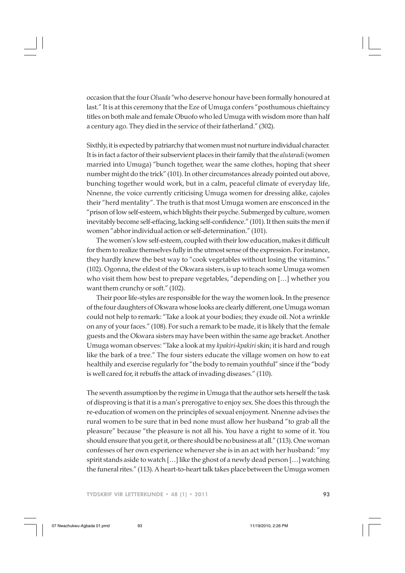occasion that the four *Oluada* "who deserve honour have been formally honoured at last." It is at this ceremony that the Eze of Umuga confers "posthumous chieftaincy titles on both male and female Obuofo who led Umuga with wisdom more than half a century ago. They died in the service of their fatherland." (302).

Sixthly, it is expected by patriarchy that women must not nurture individual character. It is in fact a factor of their subservient places in their family that the *alutaradi* (women married into Umuga) "bunch together, wear the same clothes, hoping that sheer number might do the trick" (101). In other circumstances already pointed out above, bunching together would work, but in a calm, peaceful climate of everyday life, Nnenne, the voice currently criticising Umuga women for dressing alike, cajoles their "herd mentality". The truth is that most Umuga women are ensconced in the "prison of low self-esteem, which blights their psyche. Submerged by culture, women inevitably become self-effacing, lacking self-confidence." (101). It then suits the men if women "abhor individual action or self-determination." (101).

The women's low self-esteem, coupled with their low education, makes it difficult for them to realize themselves fully in the utmost sense of the expression. For instance, they hardly knew the best way to "cook vegetables without losing the vitamins." (102). Ogonna, the eldest of the Okwara sisters, is up to teach some Umuga women who visit them how best to prepare vegetables, "depending on […] whether you want them crunchy or soft." (102).

Their poor life-styles are responsible for the way the women look. In the presence of the four daughters of Okwara whose looks are clearly different, one Umuga woman could not help to remark: "Take a look at your bodies; they exude oil. Not a wrinkle on any of your faces." (108). For such a remark to be made, it is likely that the female guests and the Okwara sisters may have been within the same age bracket. Another Umuga woman observes: "Take a look at my *kpakiri-kpakiri* skin; it is hard and rough like the bark of a tree." The four sisters educate the village women on how to eat healthily and exercise regularly for "the body to remain youthful" since if the "body is well cared for, it rebuffs the attack of invading diseases." (110).

The seventh assumption by the regime in Umuga that the author sets herself the task of disproving is that it is a man's prerogative to enjoy sex. She does this through the re-education of women on the principles of sexual enjoyment. Nnenne advises the rural women to be sure that in bed none must allow her husband "to grab all the pleasure" because "the pleasure is not all his. You have a right to some of it. You should ensure that you get it, or there should be no business at all." (113). One woman confesses of her own experience whenever she is in an act with her husband: "my spirit stands aside to watch […] like the ghost of a newly dead person […] watching the funeral rites." (113). A heart-to-heart talk takes place between the Umuga women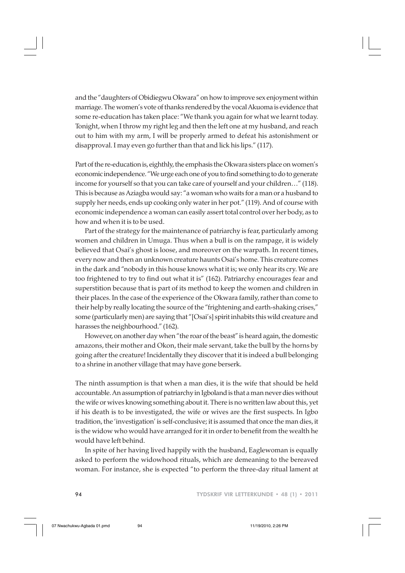and the "daughters of Obidiegwu Okwara" on how to improve sex enjoyment within marriage. The women's vote of thanks rendered by the vocal Akuoma is evidence that some re-education has taken place: "We thank you again for what we learnt today. Tonight, when I throw my right leg and then the left one at my husband, and reach out to him with my arm, I will be properly armed to defeat his astonishment or disapproval. I may even go further than that and lick his lips." (117).

Part of the re-education is, eighthly, the emphasis the Okwara sisters place on women's economic independence. "We urge each one of you to find something to do to generate income for yourself so that you can take care of yourself and your children…" (118). This is because as Aziagba would say: "a woman who waits for a man or a husband to supply her needs, ends up cooking only water in her pot." (119). And of course with economic independence a woman can easily assert total control over her body, as to how and when it is to be used.

Part of the strategy for the maintenance of patriarchy is fear, particularly among women and children in Umuga. Thus when a bull is on the rampage, it is widely believed that Osai's ghost is loose, and moreover on the warpath. In recent times, every now and then an unknown creature haunts Osai's home. This creature comes in the dark and "nobody in this house knows what it is; we only hear its cry. We are too frightened to try to find out what it is" (162). Patriarchy encourages fear and superstition because that is part of its method to keep the women and children in their places. In the case of the experience of the Okwara family, rather than come to their help by really locating the source of the "frightening and earth-shaking crises," some (particularly men) are saying that "[Osai's] spirit inhabits this wild creature and harasses the neighbourhood." (162).

However, on another day when "the roar of the beast" is heard again, the domestic amazons, their mother and Okon, their male servant, take the bull by the horns by going after the creature! Incidentally they discover that it is indeed a bull belonging to a shrine in another village that may have gone berserk.

The ninth assumption is that when a man dies, it is the wife that should be held accountable. An assumption of patriarchy in Igboland is that a man never dies without the wife or wives knowing something about it. There is no written law about this, yet if his death is to be investigated, the wife or wives are the first suspects. In Igbo tradition, the 'investigation' is self-conclusive; it is assumed that once the man dies, it is the widow who would have arranged for it in order to benefit from the wealth he would have left behind.

In spite of her having lived happily with the husband, Eaglewoman is equally asked to perform the widowhood rituals, which are demeaning to the bereaved woman. For instance, she is expected "to perform the three-day ritual lament at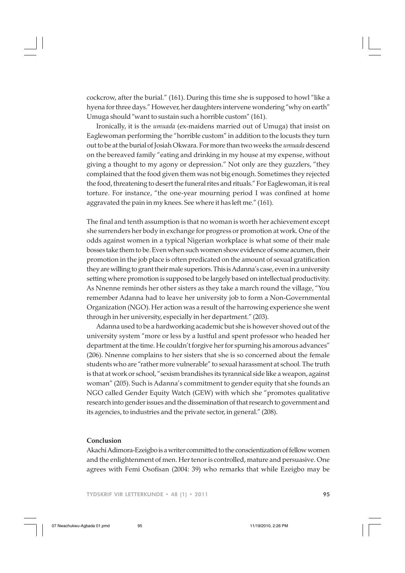cockcrow, after the burial." (161). During this time she is supposed to howl "like a hyena for three days." However, her daughters intervene wondering "why on earth" Umuga should "want to sustain such a horrible custom" (161).

Ironically, it is the *umuada* (ex-maidens married out of Umuga) that insist on Eaglewoman performing the "horrible custom" in addition to the locusts they turn out to be at the burial of Josiah Okwara. For more than two weeks the *umuada* descend on the bereaved family "eating and drinking in my house at my expense, without giving a thought to my agony or depression." Not only are they guzzlers, "they complained that the food given them was not big enough. Sometimes they rejected the food, threatening to desert the funeral rites and rituals." For Eaglewoman, it is real torture. For instance, "the one-year mourning period I was confined at home aggravated the pain in my knees. See where it has left me." (161).

The final and tenth assumption is that no woman is worth her achievement except she surrenders her body in exchange for progress or promotion at work. One of the odds against women in a typical Nigerian workplace is what some of their male bosses take them to be. Even when such women show evidence of some acumen, their promotion in the job place is often predicated on the amount of sexual gratification they are willing to grant their male superiors. This is Adanna's case, even in a university setting where promotion is supposed to be largely based on intellectual productivity. As Nnenne reminds her other sisters as they take a march round the village, "You remember Adanna had to leave her university job to form a Non-Governmental Organization (NGO). Her action was a result of the harrowing experience she went through in her university, especially in her department." (203).

Adanna used to be a hardworking academic but she is however shoved out of the university system "more or less by a lustful and spent professor who headed her department at the time. He couldn't forgive her for spurning his amorous advances" (206). Nnenne complains to her sisters that she is so concerned about the female students who are "rather more vulnerable" to sexual harassment at school. The truth is that at work or school, "sexism brandishes its tyrannical side like a weapon, against woman" (205). Such is Adanna's commitment to gender equity that she founds an NGO called Gender Equity Watch (GEW) with which she "promotes qualitative research into gender issues and the dissemination of that research to government and its agencies, to industries and the private sector, in general." (208).

#### **Conclusion**

Akachi Adimora-Ezeigbo is a writer committed to the conscientization of fellow women and the enlightenment of men. Her tenor is controlled, mature and persuasive. One agrees with Femi Osofisan (2004: 39) who remarks that while Ezeigbo may be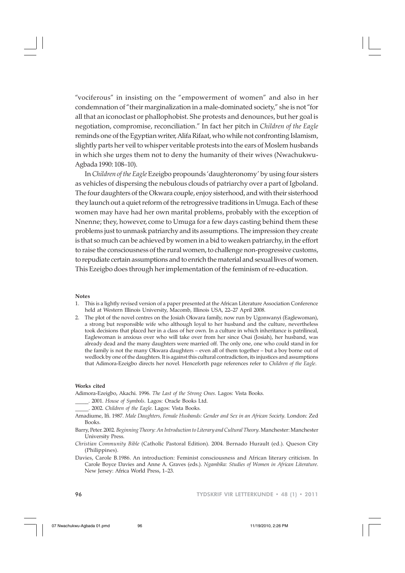"vociferous" in insisting on the "empowerment of women" and also in her condemnation of "their marginalization in a male-dominated society," she is not "for all that an iconoclast or phallophobist. She protests and denounces, but her goal is negotiation, compromise, reconciliation." In fact her pitch in *Children of the Eagle* reminds one of the Egyptian writer, Alifa Rifaat, who while not confronting Islamism, slightly parts her veil to whisper veritable protests into the ears of Moslem husbands in which she urges them not to deny the humanity of their wives (Nwachukwu-Agbada 1990: 108–10).

In *Children of the Eagle* Ezeigbo propounds 'daughteronomy' by using four sisters as vehicles of dispersing the nebulous clouds of patriarchy over a part of Igboland. The four daughters of the Okwara couple, enjoy sisterhood, and with their sisterhood they launch out a quiet reform of the retrogressive traditions in Umuga. Each of these women may have had her own marital problems, probably with the exception of Nnenne; they, however, come to Umuga for a few days casting behind them these problems just to unmask patriarchy and its assumptions. The impression they create is that so much can be achieved by women in a bid to weaken patriarchy, in the effort to raise the consciousness of the rural women, to challenge non-progressive customs, to repudiate certain assumptions and to enrich the material and sexual lives of women. This Ezeigbo does through her implementation of the feminism of re-education.

#### **Notes**

- 1. This is a lightly revised version of a paper presented at the African Literature Association Conference held at Western Illinois University, Macomb, Illinois USA, 22–27 April 2008.
- 2. The plot of the novel centres on the Josiah Okwara family, now run by Ugonwanyi (Eaglewoman), a strong but responsible wife who although loyal to her husband and the culture, nevertheless took decisions that placed her in a class of her own. In a culture in which inheritance is patrilineal, Eaglewoman is anxious over who will take over from her since Osai (Josiah), her husband, was already dead and the many daughters were married off. The only one, one who could stand in for the family is not the many Okwara daughters – even all of them together – but a boy borne out of wedlock by one of the daughters. It is against this cultural contradiction, its injustices and assumptions that Adimora-Ezeigbo directs her novel. Henceforth page references refer to *Children of the Eagle*.

#### **Works cited**

Adimora-Ezeigbo, Akachi. 1996. *The Last of the Strong Ones*. Lagos: Vista Books.

- \_\_\_\_\_. 2001. *House of Symbols*. Lagos: Oracle Books Ltd.
- \_\_\_\_\_. 2002. *Children of the Eagle*. Lagos: Vista Books.
- Amadiume, Ifi. 1987. *Male Daughters, Female Husbands: Gender and Sex in an African Society*. London: Zed Books.
- Barry, Peter. 2002. *Beginning Theory: An Introduction to Literary and Cultural Theory*. Manchester: Manchester University Press.
- *Christian Community Bible* (Catholic Pastoral Edition). 2004. Bernado Hurault (ed.). Queson City (Philippines).
- Davies, Carole B.1986. An introduction: Feminist consciousness and African literary criticism. In Carole Boyce Davies and Anne A. Graves (eds.). *Ngambika: Studies of Women in African Literature*. New Jersey: Africa World Press, 1–23.